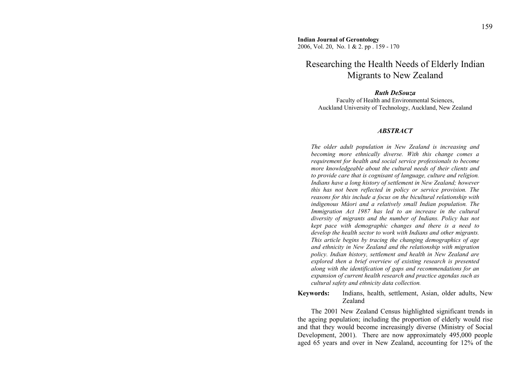**Indian Journal of Gerontology**  2006, Vol. 20, No. 1 & 2. pp . 159 - 170

# Researching the Health Needs of Elderly Indian Migrants to New Zealand

#### *Ruth DeSouza*

Faculty of Health and Environmental Sciences, Auckland University of Technology, Auckland, New Zealand

#### *ABSTRACT*

*The older adult population in New Zealand is increasing and becoming more ethnically diverse. With this change comes a requirement for health and social service professionals to become more knowledgeable about the cultural needs of their clients and to provide care that is cognisant of language, culture and religion. Indians have a long history of settlement in New Zealand; however this has not been reflected in policy or service provision. The reasons for this include a focus on the bicultural relationship with indigenous Mâori and a relatively small Indian population. The Immigration Act 1987 has led to an increase in the cultural diversity of migrants and the number of Indians. Policy has not kept pace with demographic changes and there is a need to develop the health sector to work with Indians and other migrants. This article begins by tracing the changing demographics of age and ethnicity in New Zealand and the relationship with migration policy. Indian history, settlement and health in New Zealand are explored then a brief overview of existing research is presented along with the identification of gaps and recommendations for an expansion of current health research and practice agendas such as cultural safety and ethnicity data collection.* 

**Keywords:** Indians, health, settlement, Asian, older adults, New Zealand

The 2001 New Zealand Census highlighted significant trends in the ageing population; including the proportion of elderly would rise and that they would become increasingly diverse (Ministry of Social Development, 2001). There are now approximately 495,000 people aged 65 years and over in New Zealand, accounting for 12% of the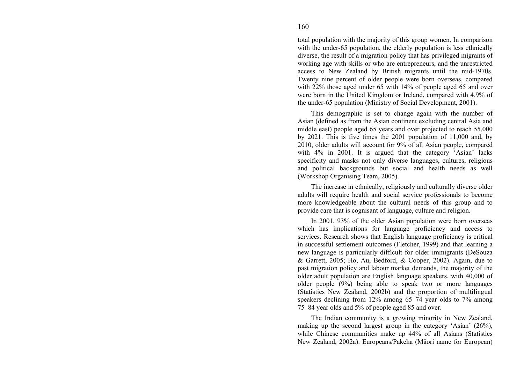# total population with the majority of this group women. In comparison with the under-65 population, the elderly population is less ethnically diverse, the result of a migration policy that has privileged migrants of working age with skills or who are entrepreneurs, and the unrestricted access to New Zealand by British migrants until the mid-1970s. Twenty nine percent of older people were born overseas, compared with 22% those aged under 65 with 14% of people aged 65 and over were born in the United Kingdom or Ireland, compared with 4.9% of the under-65 population (Ministry of Social Development, 2001).

This demographic is set to change again with the number of Asian (defined as from the Asian continent excluding central Asia and middle east) people aged 65 years and over projected to reach 55,000 by 2021. This is five times the 2001 population of 11,000 and, by 2010, older adults will account for 9% of all Asian people, compared with 4% in 2001. It is argued that the category 'Asian' lacks specificity and masks not only diverse languages, cultures, religious and political backgrounds but social and health needs as well (Workshop Organising Team, 2005).

The increase in ethnically, religiously and culturally diverse older adults will require health and social service professionals to become more knowledgeable about the cultural needs of this group and to provide care that is cognisant of language, culture and religion.

In 2001, 93% of the older Asian population were born overseas which has implications for language proficiency and access to services. Research shows that English language proficiency is critical in successful settlement outcomes (Fletcher, 1999) and that learning a new language is particularly difficult for older immigrants (DeSouza & Garrett, 2005; Ho, Au, Bedford, & Cooper, 2002). Again, due to past migration policy and labour market demands, the majority of the older adult population are English language speakers, with 40,000 of older people (9%) being able to speak two or more languages (Statistics New Zealand, 2002b) and the proportion of multilingual speakers declining from 12% among 65–74 year olds to 7% among 75–84 year olds and 5% of people aged 85 and over.

The Indian community is a growing minority in New Zealand, making up the second largest group in the category 'Asian' (26%), while Chinese communities make up 44% of all Asians (Statistics New Zealand, 2002a). Europeans/Pakeha (Mâori name for European)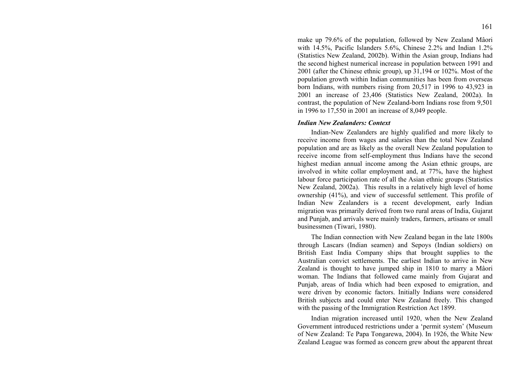make up 79.6% of the population, followed by New Zealand Mâori with 14.5%, Pacific Islanders 5.6%, Chinese 2.2% and Indian 1.2% (Statistics New Zealand, 2002b). Within the Asian group, Indians had the second highest numerical increase in population between 1991 and 2001 (after the Chinese ethnic group), up 31,194 or 102%. Most of the population growth within Indian communities has been from overseas born Indians, with numbers rising from 20,517 in 1996 to 43,923 in 2001 an increase of 23,406 (Statistics New Zealand, 2002a). In contrast, the population of New Zealand-born Indians rose from 9,501 in 1996 to 17,550 in 2001 an increase of 8,049 people.

### *Indian New Zealanders: Context*

Indian-New Zealanders are highly qualified and more likely to receive income from wages and salaries than the total New Zealand population and are as likely as the overall New Zealand population to receive income from self-employment thus Indians have the second highest median annual income among the Asian ethnic groups, are involved in white collar employment and, at 77%, have the highest labour force participation rate of all the Asian ethnic groups (Statistics New Zealand, 2002a). This results in a relatively high level of home ownership (41%), and view of successful settlement. This profile of Indian New Zealanders is a recent development, early Indian migration was primarily derived from two rural areas of India, Gujarat and Punjab, and arrivals were mainly traders, farmers, artisans or small businessmen (Tiwari, 1980).

The Indian connection with New Zealand began in the late 1800s through Lascars (Indian seamen) and Sepoys (Indian soldiers) on British East India Company ships that brought supplies to the Australian convict settlements. The earliest Indian to arrive in New Zealand is thought to have jumped ship in 1810 to marry a Mâori woman. The Indians that followed came mainly from Gujarat and Punjab, areas of India which had been exposed to emigration, and were driven by economic factors. Initially Indians were considered British subjects and could enter New Zealand freely. This changed with the passing of the Immigration Restriction Act 1899.

Indian migration increased until 1920, when the New Zealand Government introduced restrictions under a 'permit system' (Museum of New Zealand: Te Papa Tongarewa, 2004). In 1926, the White New Zealand League was formed as concern grew about the apparent threat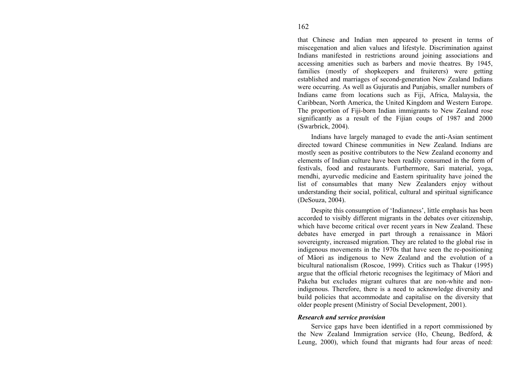that Chinese and Indian men appeared to present in terms of miscegenation and alien values and lifestyle. Discrimination against Indians manifested in restrictions around joining associations and accessing amenities such as barbers and movie theatres. By 1945, families (mostly of shopkeepers and fruiterers) were getting established and marriages of second-generation New Zealand Indians were occurring. As well as Gujuratis and Punjabis, smaller numbers of Indians came from locations such as Fiji, Africa, Malaysia, the Caribbean, North America, the United Kingdom and Western Europe. The proportion of Fiji-born Indian immigrants to New Zealand rose significantly as a result of the Fijian coups of 1987 and 2000 (Swarbrick, 2004).

Indians have largely managed to evade the anti-Asian sentiment directed toward Chinese communities in New Zealand. Indians are mostly seen as positive contributors to the New Zealand economy and elements of Indian culture have been readily consumed in the form of festivals, food and restaurants. Furthermore, Sari material, yoga, mendhi, ayurvedic medicine and Eastern spirituality have joined the list of consumables that many New Zealanders enjoy without understanding their social, political, cultural and spiritual significance (DeSouza, 2004).

Despite this consumption of 'Indianness', little emphasis has been accorded to visibly different migrants in the debates over citizenship, which have become critical over recent years in New Zealand. These debates have emerged in part through a renaissance in Mâori sovereignty, increased migration. They are related to the global rise in indigenous movements in the 1970s that have seen the re-positioning of Mâori as indigenous to New Zealand and the evolution of a bicultural nationalism (Roscoe, 1999). Critics such as Thakur (1995) argue that the official rhetoric recognises the legitimacy of Mâori and Pakeha but excludes migrant cultures that are non-white and nonindigenous. Therefore, there is a need to acknowledge diversity and build policies that accommodate and capitalise on the diversity that older people present (Ministry of Social Development, 2001).

## *Research and service provision*

Service gaps have been identified in a report commissioned by the New Zealand Immigration service (Ho, Cheung, Bedford, & Leung, 2000), which found that migrants had four areas of need: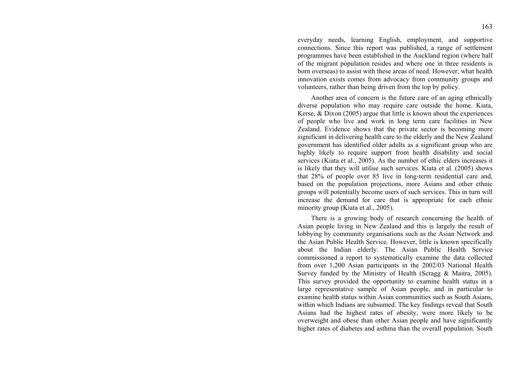everyday needs, learning English, employment, and supportive connections. Since this report was published, a range of settlement programmes have been established in the Auckland region (where half of the migrant population resides and where one in three residents is born overseas) to assist with these areas of need. However, what health innovation exists comes from advocacy from community groups and volunteers, rather than being driven from the top by policy.

Another area of concern is the future care of an aging ethnically diverse population who may require care outside the home. Kiata, Kerse, & Dixon (2005) argue that little is known about the experiences of people who live and work in long term care facilities in New Zealand. Evidence shows that the private sector is becoming more significant in delivering health care to the elderly and the New Zealand government has identified older adults as a significant group who are highly likely to require support from health disability and social services (Kiata et al., 2005). As the number of ethic elders increases it is likely that they will utilise such services. Kiata et al. (2005) shows that 28% of people over 85 live in long-term residential care and, based on the population projections, more Asians and other ethnic groups will potentially become users of such services. This in turn will increase the demand for care that is appropriate for each ethnic minority group (Kiata et al., 2005).

There is a growing body of research concerning the health of Asian people living in New Zealand and this is largely the result of lobbying by community organisations such as the Asian Network and the Asian Public Health Service. However, little is known specifically about the Indian elderly. The Asian Public Health Service commissioned a report to systematically examine the data collected from over 1,200 Asian participants in the 2002/03 National Health Survey funded by the Ministry of Health (Scragg & Maitra, 2005). This survey provided the opportunity to examine health status in a large representative sample of Asian people, and in particular to examine health status within Asian communities such as South Asians, within which Indians are subsumed. The key findings reveal that South Asians had the highest rates of obesity, were more likely to be overweight and obese than other Asian people and have significantly higher rates of diabetes and asthma than the overall population. South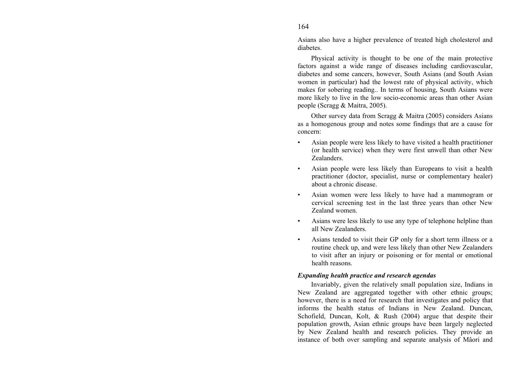Asians also have a higher prevalence of treated high cholesterol and diabetes.

Physical activity is thought to be one of the main protective factors against a wide range of diseases including cardiovascular, diabetes and some cancers, however, South Asians (and South Asian women in particular) had the lowest rate of physical activity, which makes for sobering reading.. In terms of housing, South Asians were more likely to live in the low socio-economic areas than other Asian people (Scragg & Maitra, 2005).

Other survey data from Scragg & Maitra (2005) considers Asians as a homogenous group and notes some findings that are a cause for concern:

- Asian people were less likely to have visited a health practitioner (or health service) when they were first unwell than other New Zealanders.
- Asian people were less likely than Europeans to visit a health practitioner (doctor, specialist, nurse or complementary healer) about a chronic disease.
- Asian women were less likely to have had a mammogram or cervical screening test in the last three years than other New Zealand women.
- Asians were less likely to use any type of telephone helpline than all New Zealanders.
- Asians tended to visit their GP only for a short term illness or a routine check up, and were less likely than other New Zealanders to visit after an injury or poisoning or for mental or emotional health reasons.

## *Expanding health practice and research agendas*

Invariably, given the relatively small population size, Indians in New Zealand are aggregated together with other ethnic groups; however, there is a need for research that investigates and policy that informs the health status of Indians in New Zealand. Duncan, Schofield, Duncan, Kolt, & Rush (2004) argue that despite their population growth, Asian ethnic groups have been largely neglected by New Zealand health and research policies. They provide an instance of both over sampling and separate analysis of Mâori and

164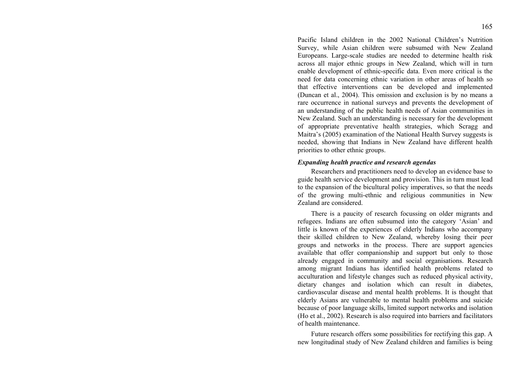Pacific Island children in the 2002 National Children's Nutrition Survey, while Asian children were subsumed with New Zealand Europeans. Large-scale studies are needed to determine health risk across all major ethnic groups in New Zealand, which will in turn enable development of ethnic-specific data. Even more critical is the need for data concerning ethnic variation in other areas of health so that effective interventions can be developed and implemented (Duncan et al., 2004). This omission and exclusion is by no means a rare occurrence in national surveys and prevents the development of an understanding of the public health needs of Asian communities in New Zealand. Such an understanding is necessary for the development of appropriate preventative health strategies, which Scragg and Maitra's (2005) examination of the National Health Survey suggests is needed, showing that Indians in New Zealand have different health priorities to other ethnic groups.

### *Expanding health practice and research agendas*

Researchers and practitioners need to develop an evidence base to guide health service development and provision. This in turn must lead to the expansion of the bicultural policy imperatives, so that the needs of the growing multi-ethnic and religious communities in New Zealand are considered.

There is a paucity of research focussing on older migrants and refugees. Indians are often subsumed into the category 'Asian' and little is known of the experiences of elderly Indians who accompany their skilled children to New Zealand, whereby losing their peer groups and networks in the process. There are support agencies available that offer companionship and support but only to those already engaged in community and social organisations. Research among migrant Indians has identified health problems related to acculturation and lifestyle changes such as reduced physical activity, dietary changes and isolation which can result in diabetes, cardiovascular disease and mental health problems. It is thought that elderly Asians are vulnerable to mental health problems and suicide because of poor language skills, limited support networks and isolation (Ho et al., 2002). Research is also required into barriers and facilitators of health maintenance.

Future research offers some possibilities for rectifying this gap. A new longitudinal study of New Zealand children and families is being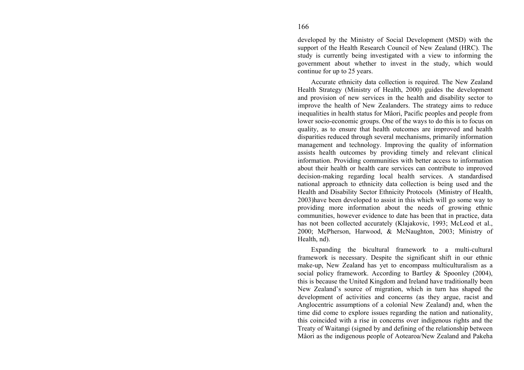developed by the Ministry of Social Development (MSD) with the support of the Health Research Council of New Zealand (HRC). The study is currently being investigated with a view to informing the government about whether to invest in the study, which would continue for up to 25 years.

Accurate ethnicity data collection is required. The New Zealand Health Strategy (Ministry of Health, 2000) guides the development and provision of new services in the health and disability sector to improve the health of New Zealanders. The strategy aims to reduce inequalities in health status for Mâori, Pacific peoples and people from lower socio-economic groups. One of the ways to do this is to focus on quality, as to ensure that health outcomes are improved and health disparities reduced through several mechanisms, primarily information management and technology. Improving the quality of information assists health outcomes by providing timely and relevant clinical information. Providing communities with better access to information about their health or health care services can contribute to improved decision-making regarding local health services. A standardised national approach to ethnicity data collection is being used and the Health and Disability Sector Ethnicity Protocols (Ministry of Health, 2003)have been developed to assist in this which will go some way to providing more information about the needs of growing ethnic communities, however evidence to date has been that in practice, data has not been collected accurately (Klajakovic, 1993; McLeod et al., 2000; McPherson, Harwood, & McNaughton, 2003; Ministry of Health, nd).

Expanding the bicultural framework to a multi-cultural framework is necessary. Despite the significant shift in our ethnic make-up, New Zealand has yet to encompass multiculturalism as a social policy framework. According to Bartley & Spoonley (2004), this is because the United Kingdom and Ireland have traditionally been New Zealand's source of migration, which in turn has shaped the development of activities and concerns (as they argue, racist and Anglocentric assumptions of a colonial New Zealand) and, when the time did come to explore issues regarding the nation and nationality, this coincided with a rise in concerns over indigenous rights and the Treaty of Waitangi (signed by and defining of the relationship between Mâori as the indigenous people of Aotearoa/New Zealand and Pakeha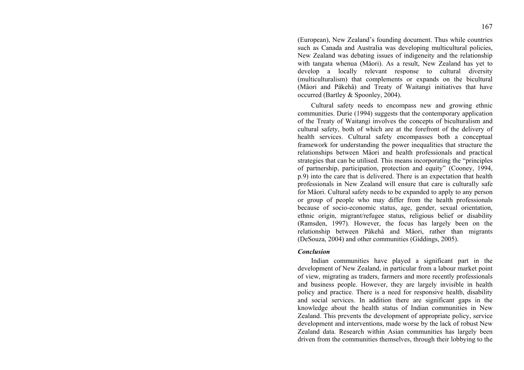(European), New Zealand's founding document. Thus while countries such as Canada and Australia was developing multicultural policies, New Zealand was debating issues of indigeneity and the relationship with tangata whenua (Mâori). As a result, New Zealand has yet to develop a locally relevant response to cultural diversity (multiculturalism) that complements or expands on the bicultural (Mâori and Pâkehâ) and Treaty of Waitangi initiatives that have occurred (Bartley & Spoonley, 2004).

Cultural safety needs to encompass new and growing ethnic communities. Durie (1994) suggests that the contemporary application of the Treaty of Waitangi involves the concepts of biculturalism and cultural safety, both of which are at the forefront of the delivery of health services. Cultural safety encompasses both a conceptual framework for understanding the power inequalities that structure the relationships between Mâori and health professionals and practical strategies that can be utilised. This means incorporating the "principles of partnership, participation, protection and equity" (Cooney, 1994, p.9) into the care that is delivered. There is an expectation that health professionals in New Zealand will ensure that care is culturally safe for Mâori. Cultural safety needs to be expanded to apply to any person or group of people who may differ from the health professionals because of socio-economic status, age, gender, sexual orientation, ethnic origin, migrant/refugee status, religious belief or disability (Ramsden, 1997). However, the focus has largely been on the relationship between Pâkehâ and Mâori, rather than migrants (DeSouza, 2004) and other communities (Giddings, 2005).

#### *Conclusion*

Indian communities have played a significant part in the development of New Zealand, in particular from a labour market point of view, migrating as traders, farmers and more recently professionals and business people. However, they are largely invisible in health policy and practice. There is a need for responsive health, disability and social services. In addition there are significant gaps in the knowledge about the health status of Indian communities in New Zealand. This prevents the development of appropriate policy, service development and interventions, made worse by the lack of robust New Zealand data. Research within Asian communities has largely been driven from the communities themselves, through their lobbying to the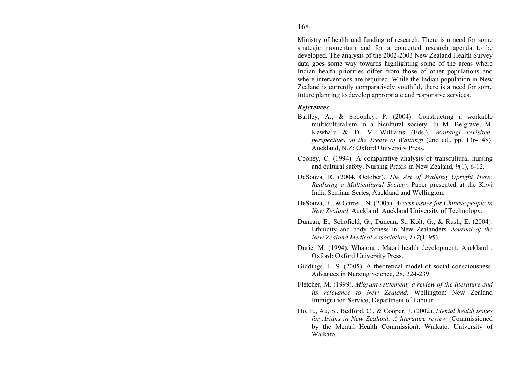Ministry of health and funding of research. There is a need for some strategic momentum and for a concerted research agenda to be developed. The analysis of the 2002-2003 New Zealand Health Survey data goes some way towards highlighting some of the areas where Indian health priorities differ from those of other populations and where interventions are required. While the Indian population in New Zealand is currently comparatively youthful, there is a need for some future planning to develop appropriate and responsive services.

## *References*

- Bartley, A., & Spoonley, P. (2004). Constructing a workable multiculturalism in a bicultural society. In M. Belgrave, M. Kawharu & D. V. Williams (Eds.), *Waitangi revisited: perspectives on the Treaty of Waitangi* (2nd ed., pp. 136-148). Auckland, N.Z: Oxford University Press.
- Cooney, C. (1994). A comparative analysis of transcultural nursing and cultural safety. Nursing Praxis in New Zealand, 9(1), 6-12.
- DeSouza, R. (2004, October). *The Art of Walking Upright Here: Realising a Multicultural Society.* Paper presented at the Kiwi India Seminar Series, Auckland and Wellington.
- DeSouza, R., & Garrett, N. (2005). *Access issues for Chinese people in New Zealand*. Auckland: Auckland University of Technology.
- Duncan, E., Schofield, G., Duncan, S., Kolt, G., & Rush, E. (2004). Ethnicity and body fatness in New Zealanders. *Journal of the New Zealand Medical Association, 117*(1195).
- Durie, M. (1994). Whaiora : Maori health development. Auckland ; Oxford: Oxford University Press.
- Giddings, L. S. (2005). A theoretical model of social consciousness. Advances in Nursing Science, 28, 224-239.
- Fletcher, M. (1999). *Migrant settlement; a review of the literature and its relevance to New Zealand*. Wellington: New Zealand Immigration Service, Department of Labour.
- Ho, E., Au, S., Bedford, C., & Cooper, J. (2002). *Mental health issues for Asians in New Zealand: A literature review* (Commissioned by the Mental Health Commission). Waikato: University of Waikato.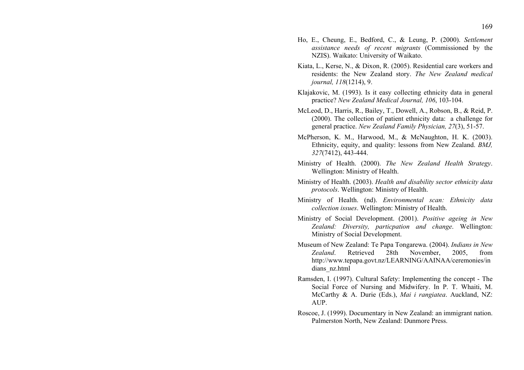- Ho, E., Cheung, E., Bedford, C., & Leung, P. (2000). *Settlement assistance needs of recent migrants* (Commissioned by the NZIS). Waikato: University of Waikato.
- Kiata, L., Kerse, N., & Dixon, R. (2005). Residential care workers and residents: the New Zealand story. *The New Zealand medical journal, 118*(1214), 9.
- Klajakovic, M. (1993). Is it easy collecting ethnicity data in general practice? *New Zealand Medical Journal, 106*, 103-104.
- McLeod, D., Harris, R., Bailey, T., Dowell, A., Robson, B., & Reid, P. (2000). The collection of patient ethnicity data: a challenge for general practice. *New Zealand Family Physician, 27*(3), 51-57.
- McPherson, K. M., Harwood, M., & McNaughton, H. K. (2003). Ethnicity, equity, and quality: lessons from New Zealand. *BMJ, 327*(7412), 443-444.
- Ministry of Health. (2000). *The New Zealand Health Strategy*. Wellington: Ministry of Health.
- Ministry of Health. (2003). *Health and disability sector ethnicity data protocols*. Wellington: Ministry of Health.
- Ministry of Health. (nd). *Environmental scan: Ethnicity data collection issues*. Wellington: Ministry of Health.
- Ministry of Social Development. (2001). *Positive ageing in New Zealand: Diversity, particpation and change*. Wellington: Ministry of Social Development.
- Museum of New Zealand: Te Papa Tongarewa. (2004). *Indians in New Zealand*. Retrieved 28th November, 2005, from http://www.tepapa.govt.nz/LEARNING/AAINAA/ceremonies/in dians\_nz.html
- Ramsden, I. (1997). Cultural Safety: Implementing the concept The Social Force of Nursing and Midwifery. In P. T. Whaiti, M. McCarthy & A. Durie (Eds.), *Mai i rangiatea*. Auckland, NZ: AUP.
- Roscoe, J. (1999). Documentary in New Zealand: an immigrant nation. Palmerston North, New Zealand: Dunmore Press.